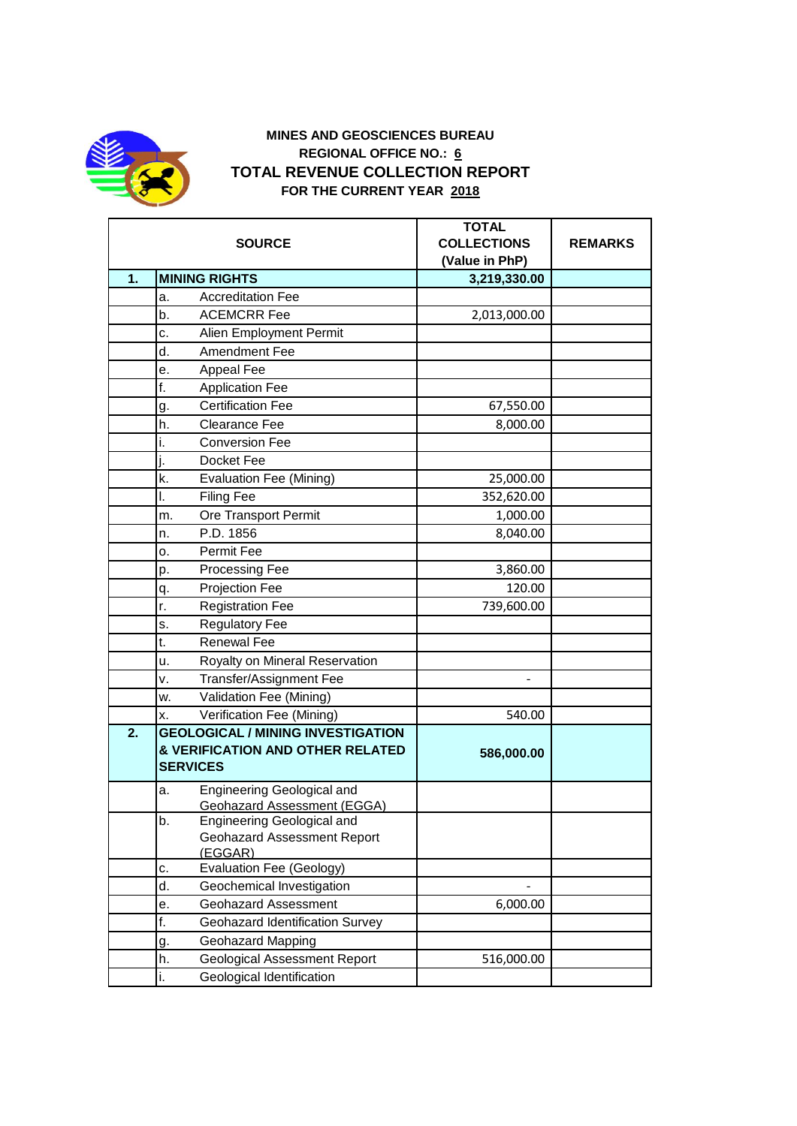

## **MINES AND GEOSCIENCES BUREAU REGIONAL OFFICE NO.: 6 TOTAL REVENUE COLLECTION REPORT FOR THE CURRENT YEAR 2018**

|    | <b>SOURCE</b>                                 | <b>TOTAL</b><br><b>COLLECTIONS</b> | <b>REMARKS</b> |
|----|-----------------------------------------------|------------------------------------|----------------|
|    |                                               | (Value in PhP)                     |                |
| 1. | <b>MINING RIGHTS</b>                          | 3,219,330.00                       |                |
|    | <b>Accreditation Fee</b><br>a.                |                                    |                |
|    | <b>ACEMCRR Fee</b><br>b.                      | 2,013,000.00                       |                |
|    | Alien Employment Permit<br>c.                 |                                    |                |
|    | d.<br><b>Amendment Fee</b>                    |                                    |                |
|    | Appeal Fee<br>е.                              |                                    |                |
|    | f.<br><b>Application Fee</b>                  |                                    |                |
|    | <b>Certification Fee</b><br>g.                | 67,550.00                          |                |
|    | Clearance Fee<br>h.                           | 8,000.00                           |                |
|    | <b>Conversion Fee</b><br>i.                   |                                    |                |
|    | i.<br>Docket Fee                              |                                    |                |
|    | k.<br><b>Evaluation Fee (Mining)</b>          | 25,000.00                          |                |
|    | <b>Filing Fee</b><br>I.                       | 352,620.00                         |                |
|    | Ore Transport Permit<br>m.                    | 1,000.00                           |                |
|    | P.D. 1856<br>n.                               | 8,040.00                           |                |
|    | Permit Fee<br>о.                              |                                    |                |
|    | <b>Processing Fee</b><br>p.                   | 3,860.00                           |                |
|    | Projection Fee<br>q.                          | 120.00                             |                |
|    | r.<br><b>Registration Fee</b>                 | 739,600.00                         |                |
|    | <b>Regulatory Fee</b><br>s.                   |                                    |                |
|    | <b>Renewal Fee</b><br>t.                      |                                    |                |
|    | Royalty on Mineral Reservation<br>u.          |                                    |                |
|    | Transfer/Assignment Fee<br>٧.                 |                                    |                |
|    | Validation Fee (Mining)<br>w.                 |                                    |                |
|    | Verification Fee (Mining)<br>X.               | 540.00                             |                |
| 2. | <b>GEOLOGICAL / MINING INVESTIGATION</b>      |                                    |                |
|    | & VERIFICATION AND OTHER RELATED              | 586,000.00                         |                |
|    | <b>SERVICES</b>                               |                                    |                |
|    | Engineering Geological and<br>a.              |                                    |                |
|    | <b>Geohazard Assessment (EGGA)</b>            |                                    |                |
|    | b.<br>Engineering Geological and              |                                    |                |
|    | <b>Geohazard Assessment Report</b><br>(EGGAR) |                                    |                |
|    | Evaluation Fee (Geology)<br>c.                |                                    |                |
|    | d.<br>Geochemical Investigation               |                                    |                |
|    | <b>Geohazard Assessment</b><br>е.             | 6,000.00                           |                |
|    | f.<br>Geohazard Identification Survey         |                                    |                |
|    | Geohazard Mapping<br>g.                       |                                    |                |
|    | h.<br><b>Geological Assessment Report</b>     | 516,000.00                         |                |
|    | Geological Identification<br>i.               |                                    |                |
|    |                                               |                                    |                |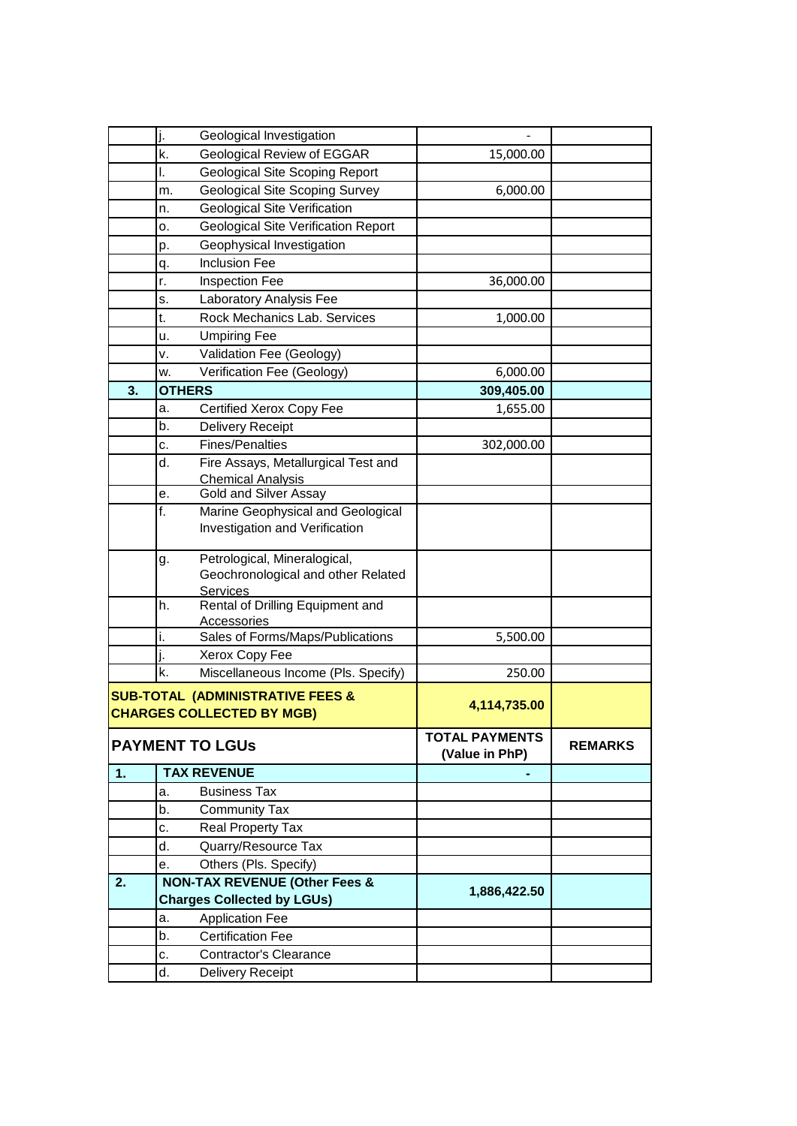|                                                                                 | j. | Geological Investigation                                                      |                                         |                |
|---------------------------------------------------------------------------------|----|-------------------------------------------------------------------------------|-----------------------------------------|----------------|
|                                                                                 | k. | Geological Review of EGGAR                                                    | 15,000.00                               |                |
|                                                                                 | I. | <b>Geological Site Scoping Report</b>                                         |                                         |                |
|                                                                                 | m. | <b>Geological Site Scoping Survey</b>                                         | 6,000.00                                |                |
|                                                                                 | n. | <b>Geological Site Verification</b>                                           |                                         |                |
|                                                                                 | о. | <b>Geological Site Verification Report</b>                                    |                                         |                |
|                                                                                 | p. | Geophysical Investigation                                                     |                                         |                |
|                                                                                 | q. | <b>Inclusion Fee</b>                                                          |                                         |                |
|                                                                                 | r. | Inspection Fee                                                                | 36,000.00                               |                |
|                                                                                 | s. | Laboratory Analysis Fee                                                       |                                         |                |
|                                                                                 | t. | Rock Mechanics Lab. Services                                                  | 1,000.00                                |                |
|                                                                                 | u. | <b>Umpiring Fee</b>                                                           |                                         |                |
|                                                                                 | v. | Validation Fee (Geology)                                                      |                                         |                |
|                                                                                 | w. | Verification Fee (Geology)                                                    | 6,000.00                                |                |
| 3.<br><b>OTHERS</b>                                                             |    |                                                                               | 309,405.00                              |                |
|                                                                                 | a. | Certified Xerox Copy Fee                                                      | 1,655.00                                |                |
|                                                                                 | b. | Delivery Receipt                                                              |                                         |                |
|                                                                                 | c. | Fines/Penalties                                                               | 302,000.00                              |                |
|                                                                                 | d. | Fire Assays, Metallurgical Test and                                           |                                         |                |
|                                                                                 |    | Chemical Analysis                                                             |                                         |                |
|                                                                                 | е. | <b>Gold and Silver Assay</b>                                                  |                                         |                |
|                                                                                 | f. | Marine Geophysical and Geological                                             |                                         |                |
|                                                                                 |    | Investigation and Verification                                                |                                         |                |
|                                                                                 | g. | Petrological, Mineralogical,<br>Geochronological and other Related            |                                         |                |
|                                                                                 | h. | <b>Services</b><br>Rental of Drilling Equipment and<br><b>Accessories</b>     |                                         |                |
|                                                                                 | i. | Sales of Forms/Maps/Publications                                              | 5,500.00                                |                |
|                                                                                 |    | Xerox Copy Fee                                                                |                                         |                |
|                                                                                 | k. | Miscellaneous Income (Pls. Specify)                                           | 250.00                                  |                |
| <b>SUB-TOTAL (ADMINISTRATIVE FEES &amp;</b><br><b>CHARGES COLLECTED BY MGB)</b> |    |                                                                               | 4,114,735.00                            |                |
|                                                                                 |    |                                                                               |                                         |                |
| <b>PAYMENT TO LGUS</b>                                                          |    |                                                                               | <b>TOTAL PAYMENTS</b><br>(Value in PhP) | <b>REMARKS</b> |
| 1.                                                                              |    | <b>TAX REVENUE</b>                                                            |                                         |                |
|                                                                                 | a. | <b>Business Tax</b>                                                           |                                         |                |
|                                                                                 | b. | <b>Community Tax</b>                                                          |                                         |                |
|                                                                                 | c. | Real Property Tax                                                             |                                         |                |
|                                                                                 | d. | Quarry/Resource Tax                                                           |                                         |                |
|                                                                                 | е. | Others (Pls. Specify)                                                         |                                         |                |
| 2.                                                                              |    | <b>NON-TAX REVENUE (Other Fees &amp;</b><br><b>Charges Collected by LGUs)</b> | 1,886,422.50                            |                |
|                                                                                 | a. | <b>Application Fee</b>                                                        |                                         |                |
|                                                                                 | b. | <b>Certification Fee</b>                                                      |                                         |                |
|                                                                                 | c. | <b>Contractor's Clearance</b>                                                 |                                         |                |
|                                                                                 | d. | Delivery Receipt                                                              |                                         |                |